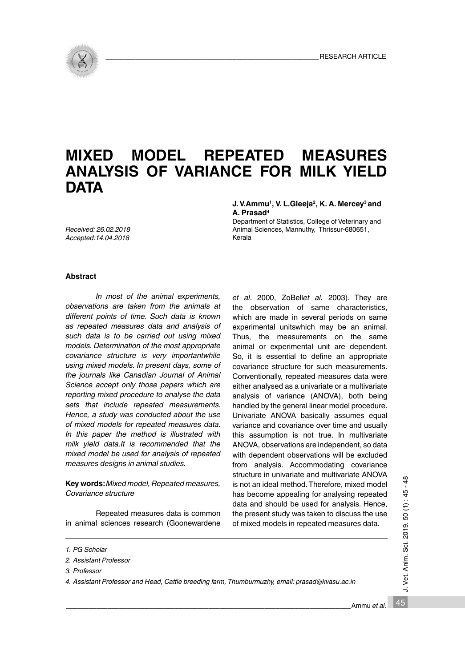

# **MIXED MODEL REPEATED MEASURES ANALYSIS OF VARIANCE FOR MILK YIELD DATA**

## **J. V.Ammu1, V. L.Gleeja2, K. A. Mercey3 and A. Prasad4**

Department of Statistics, College of Veterinary and Animal Sciences, Mannuthy, Thrissur-680651, Kerala

*Received: 26.02.2018 Accepted:14.04.2018*

## **Abstract**

*In most of the animal experiments, observations are taken from the animals at different points of time. Such data is known as repeated measures data and analysis of such data is to be carried out using mixed models. Determination of the most appropriate covariance structure is very importantwhile using mixed models. In present days, some of the journals like Canadian Journal of Animal Science accept only those papers which are reporting mixed procedure to analyse the data sets that include repeated measurements. Hence, a study was conducted about the use of mixed models for repeated measures data. In this paper the method is illustrated with milk yield data.It is recommended that the mixed model be used for analysis of repeated measures designs in animal studies.*

**Key words:** *Mixed model, Repeated measures, Covariance structure*

Repeated measures data is common in animal sciences research (Goonewardene *et al*. 2000, ZoBell*et al.* 2003). They are the observation of same characteristics, which are made in several periods on same experimental unitswhich may be an animal. Thus, the measurements on the same animal or experimental unit are dependent. So, it is essential to define an appropriate covariance structure for such measurements. Conventionally, repeated measures data were either analysed as a univariate or a multivariate analysis of variance (ANOVA), both being handled by the general linear model procedure. Univariate ANOVA basically assumes equal variance and covariance over time and usually this assumption is not true. In multivariate ANOVA, observations are independent, so data with dependent observations will be excluded from analysis. Accommodating covariance structure in univariate and multivariate ANOVA is not an ideal method. Therefore, mixed model has become appealing for analysing repeated data and should be used for analysis. Hence, the present study was taken to discuss the use of mixed models in repeated measures data.

45 J. Vet. Anim. Sci. 2019. 50 (1) : 45 - 48 J. Vet. Anim. Sci. 2019. 50 (1): 45

 $\frac{48}{5}$ 

*<sup>1.</sup> PG Scholar*

*<sup>2.</sup> Assistant Professor*

*<sup>3.</sup> Professor*

*<sup>4.</sup> Assistant Professor and Head, Cattle breeding farm, Thumburmuzhy, email: prasad@kvasu.ac.in*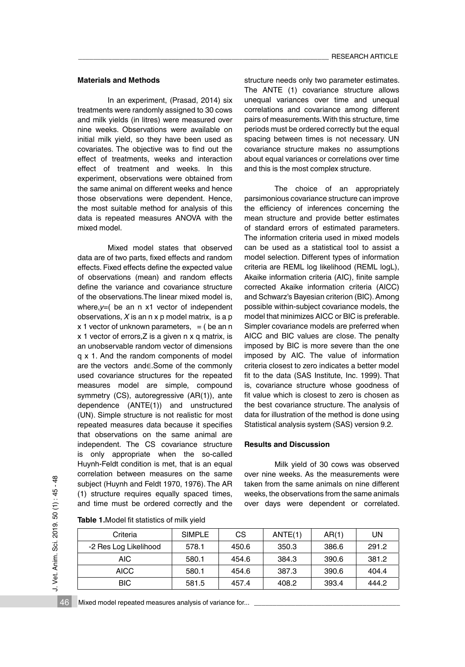# **Materials and Methods**

 In an experiment, (Prasad, 2014) six treatments were randomly assigned to 30 cows and milk yields (in litres) were measured over nine weeks. Observations were available on initial milk yield, so they have been used as covariates. The objective was to find out the effect of treatments, weeks and interaction effect of treatment and weeks. In this experiment, observations were obtained from the same animal on different weeks and hence those observations were dependent. Hence, the most suitable method for analysis of this data is repeated measures ANOVA with the mixed model.

Mixed model states that observed data are of two parts, fixed effects and random effects. Fixed effects define the expected value of observations (mean) and random effects define the variance and covariance structure of the observations.The linear mixed model is, where,*y*=( be an n x1 vector of independent observations, *X* is an n x p model matrix, is a p x 1 vector of unknown parameters,  $=$  ( be an n x 1 vector of errors,Z is a given n x q matrix, is an unobservable random vector of dimensions q x 1. And the random components of model are the vectors and∈.Some of the commonly used covariance structures for the repeated measures model are simple, compound symmetry (CS), autoregressive (AR(1)), ante dependence (ANTE(1)) and unstructured (UN). Simple structure is not realistic for most repeated measures data because it specifies that observations on the same animal are independent. The CS covariance structure is only appropriate when the so-called Huynh-Feldt condition is met, that is an equal correlation between measures on the same subject (Huynh and Feldt 1970, 1976). The AR (1) structure requires equally spaced times, and time must be ordered correctly and the

structure needs only two parameter estimates. The ANTE (1) covariance structure allows unequal variances over time and unequal correlations and covariance among different pairs of measurements. With this structure, time periods must be ordered correctly but the equal spacing between times is not necessary. UN covariance structure makes no assumptions about equal variances or correlations over time and this is the most complex structure.

 The choice of an appropriately parsimonious covariance structure can improve the efficiency of inferences concerning the mean structure and provide better estimates of standard errors of estimated parameters. The information criteria used in mixed models can be used as a statistical tool to assist a model selection. Different types of information criteria are REML log likelihood (REML logL), Akaike information criteria (AIC), finite sample corrected Akaike information criteria (AICC) and Schwarz's Bayesian criterion (BIC). Among possible within-subject covariance models, the model that minimizes AICC or BIC is preferable. Simpler covariance models are preferred when AICC and BIC values are close. The penalty imposed by BIC is more severe than the one imposed by AIC. The value of information criteria closest to zero indicates a better model fit to the data (SAS Institute, Inc. 1999). That is, covariance structure whose goodness of fit value which is closest to zero is chosen as the best covariance structure. The analysis of data for illustration of the method is done using Statistical analysis system (SAS) version 9.2.

### **Results and Discussion**

Milk yield of 30 cows was observed over nine weeks. As the measurements were taken from the same animals on nine different weeks, the observations from the same animals over days were dependent or correlated.

| Criteria              | <b>SIMPLE</b> | CS.<br>ANTE(1) |       | AR(1) | UN    |
|-----------------------|---------------|----------------|-------|-------|-------|
| -2 Res Log Likelihood | 578.1         | 450.6          | 350.3 | 386.6 | 291.2 |
| AIC.                  | 580.1         | 454.6          | 384.3 | 390.6 | 381.2 |
| <b>AICC</b>           | 580.1         | 454.6          | 387.3 | 390.6 | 404.4 |
| BIC.                  | 581.5         | 457.4          | 408.2 | 393.4 | 444.2 |

**Table 1.**Model fit statistics of milk yield

J. Vet. Anim. Sci. 2019. 50 (1) : 45 - 48

J. Vet. Anim. Sci. 2019. 50 (1): 45 - 48

46 Mixed model repeated measures analysis of variance for...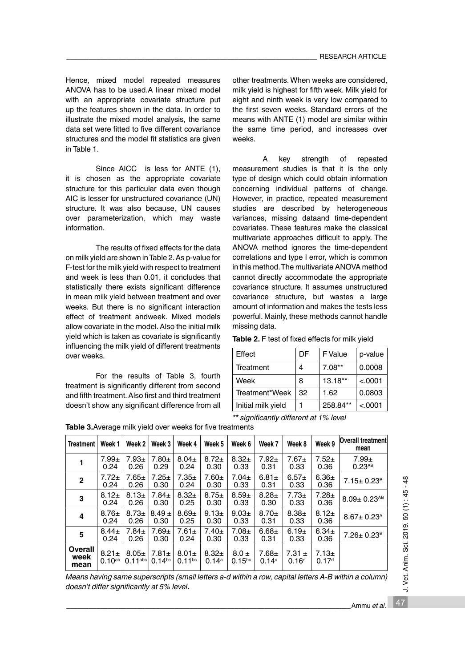Hence, mixed model repeated measures ANOVA has to be used.A linear mixed model with an appropriate covariate structure put up the features shown in the data. In order to illustrate the mixed model analysis, the same data set were fitted to five different covariance structures and the model fit statistics are given in Table 1.

Since AICC is less for ANTE (1), it is chosen as the appropriate covariate structure for this particular data even though AIC is lesser for unstructured covariance (UN) structure. It was also because, UN causes over parameterization, which may waste information.

The results of fixed effects for the data on milk yield are shown in Table 2. As p-value for F-test for the milk yield with respect to treatment and week is less than 0.01, it concludes that statistically there exists significant difference in mean milk yield between treatment and over weeks. But there is no significant interaction effect of treatment andweek. Mixed models allow covariate in the model. Also the initial milk yield which is taken as covariate is significantly influencing the milk yield of different treatments over weeks.

For the results of Table 3, fourth treatment is significantly different from second and fifth treatment. Also first and third treatment doesn't show any significant difference from all

other treatments. When weeks are considered, milk yield is highest for fifth week. Milk yield for eight and ninth week is very low compared to the first seven weeks. Standard errors of the means with ANTE (1) model are similar within the same time period, and increases over weeks.

 A key strength of repeated measurement studies is that it is the only type of design which could obtain information concerning individual patterns of change. However, in practice, repeated measurement studies are described by heterogeneous variances, missing dataand time-dependent covariates. These features make the classical multivariate approaches difficult to apply. The ANOVA method ignores the time-dependent correlations and type I error, which is common in this method. The multivariate ANOVA method cannot directly accommodate the appropriate covariance structure. It assumes unstructured covariance structure, but wastes a large amount of information and makes the tests less powerful. Mainly, these methods cannot handle missing data.

| Table 2. F test of fixed effects for milk yield |  |  |  |  |  |  |  |
|-------------------------------------------------|--|--|--|--|--|--|--|
|-------------------------------------------------|--|--|--|--|--|--|--|

| Effect                                 | DF | F Value  | p-value |  |  |  |
|----------------------------------------|----|----------|---------|--|--|--|
| <b>Treatment</b>                       | 4  | $7.08**$ | 0.0008  |  |  |  |
| Week                                   | 8  | 13.18**  | < .0001 |  |  |  |
| Treatment*Week                         | 32 | 1.62     | 0.0803  |  |  |  |
| Initial milk yield                     | 1  | 258.84** | < .0001 |  |  |  |
| ** significantly different at 1% level |    |          |         |  |  |  |

| <b>Treatment</b>               | Week 1                    | Week 2                              | Week 3                    | Week 4                    | Week 5              | Week 6                   | Week 7                          | Week 8                          | Week 9                          | <b>Overall treatment</b><br>mean |
|--------------------------------|---------------------------|-------------------------------------|---------------------------|---------------------------|---------------------|--------------------------|---------------------------------|---------------------------------|---------------------------------|----------------------------------|
|                                | $7.99 \pm$<br>0.24        | $7.93 \pm$<br>0.26                  | $7.80+$<br>0.29           | $8.04 \pm$<br>0.24        | $8.72 \pm$<br>0.30  | $8.32+$<br>0.33          | $7.92+$<br>0.31                 | $7.67 \pm$<br>0.33              | $7.52+$<br>0.36                 | $7.99 +$<br>$0.23$ <sup>AB</sup> |
| $\mathbf{2}$                   | $7.72 \pm$<br>0.24        | $7.65 \pm$<br>0.26                  | $7.25 \pm$<br>0.30        | $7.35+$<br>0.24           | $7.60+$<br>0.30     | $7.04 \pm$<br>0.33       | $6.81 \pm$<br>0.31              | $6.57+$<br>0.33                 | $6.36 \pm$<br>0.36              | $7.15 \pm 0.23$ <sup>B</sup>     |
| 3                              | $8.12 \pm$<br>0.24        | $8.13+$<br>0.26                     | $7.84 \pm$<br>0.30        | $8.32+$<br>0.25           | $8.75 \pm$<br>0.30  | $8.59+$<br>0.33          | $8.28 +$<br>0.30                | $7.73+$<br>0.33                 | $7.28 +$<br>0.36                | $8.09 \pm 0.23^{AB}$             |
| 4                              | $8.76 \pm$<br>0.24        | $8.73+$<br>0.26                     | $8.49 \pm$<br>0.30        | $8.69 +$<br>0.25          | $9.13+$<br>0.30     | $9.03+$<br>0.33          | $8.70+$<br>0.31                 | $8.38 +$<br>0.33                | $8.12 +$<br>0.36                | $8.67 \pm 0.23$ <sup>A</sup>     |
| 5                              | $8.44 \pm$<br>0.24        | $7.84 \pm$<br>0.26                  | $7.69 +$<br>0.30          | $7.61 \pm$<br>0.24        | $7.40 \pm$<br>0.30  | $7.08 \pm$<br>0.33       | $6.68 +$<br>0.31                | 6.19±<br>0.33                   | $6.34 \pm$<br>0.36              | $7.26 \pm 0.23$ <sup>B</sup>     |
| <b>Overall</b><br>week<br>mean | $8.21 \pm$<br>$0.10^{ab}$ | $8.05 \pm$<br>$0.11$ <sup>abc</sup> | $7.81 \pm$<br>$0.14^{bc}$ | $8.01 \pm$<br>$0.11^{bc}$ | $8.32+$<br>$0.14^a$ | $8.0 \pm$<br>$0.15^{bc}$ | $7.68 \pm$<br>0.14 <sup>c</sup> | 7.31 $\pm$<br>0.16 <sup>d</sup> | $7.13 \pm$<br>0.17 <sup>d</sup> |                                  |

**Table 3.**Average milk yield over weeks for five treatments

*Means having same superscripts (small letters a-d within a row, capital letters A-B within a column) doesn't differ significantly at 5% level***.**